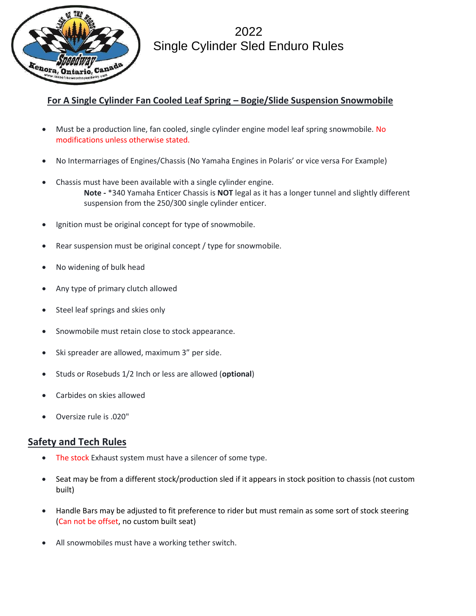

2022 Single Cylinder Sled Enduro Rules

## **For A Single Cylinder Fan Cooled Leaf Spring – Bogie/Slide Suspension Snowmobile**

- Must be a production line, fan cooled, single cylinder engine model leaf spring snowmobile. No modifications unless otherwise stated.
- No Intermarriages of Engines/Chassis (No Yamaha Engines in Polaris' or vice versa For Example)
- Chassis must have been available with a single cylinder engine. **Note -** \*340 Yamaha Enticer Chassis is **NOT** legal as it has a longer tunnel and slightly different suspension from the 250/300 single cylinder enticer.
- Ignition must be original concept for type of snowmobile.
- Rear suspension must be original concept / type for snowmobile.
- No widening of bulk head
- Any type of primary clutch allowed
- Steel leaf springs and skies only
- Snowmobile must retain close to stock appearance.
- Ski spreader are allowed, maximum 3" per side.
- Studs or Rosebuds 1/2 Inch or less are allowed (**optional**)
- Carbides on skies allowed
- Oversize rule is .020"

## **Safety and Tech Rules**

- The stock Exhaust system must have a silencer of some type.
- Seat may be from a different stock/production sled if it appears in stock position to chassis (not custom built)
- Handle Bars may be adjusted to fit preference to rider but must remain as some sort of stock steering (Can not be offset, no custom built seat)
- All snowmobiles must have a working tether switch.